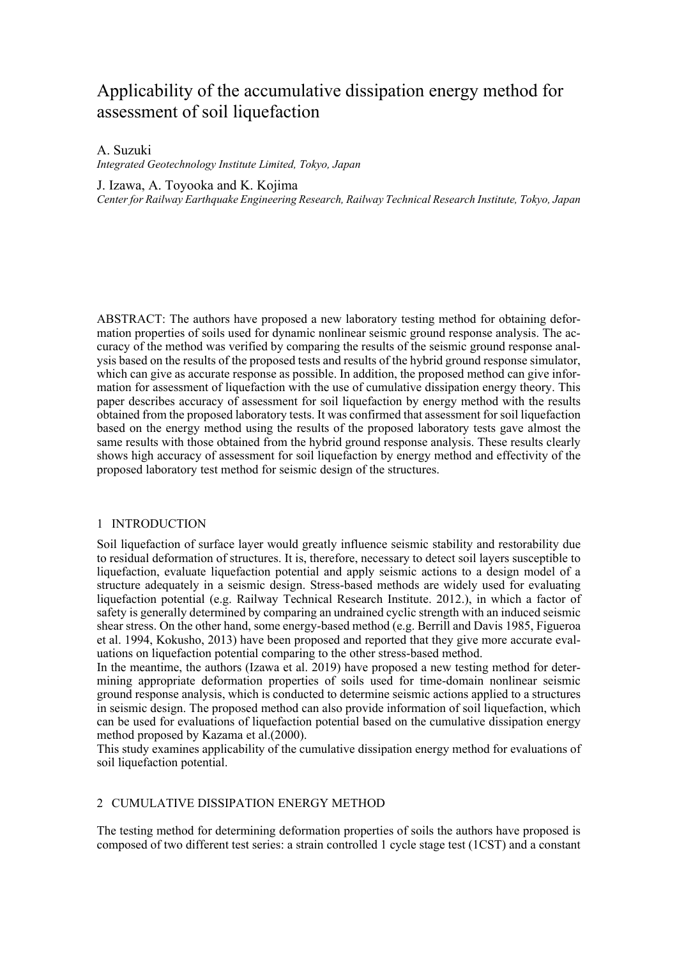# Applicability of the accumulative dissipation energy method for assessment of soil liquefaction

# A. Suzuki

*Integrated Geotechnology Institute Limited, Tokyo, Japan* 

J. Izawa, A. Toyooka and K. Kojima

*Center for Railway Earthquake Engineering Research, Railway Technical Research Institute, Tokyo, Japan*

ABSTRACT: The authors have proposed a new laboratory testing method for obtaining deformation properties of soils used for dynamic nonlinear seismic ground response analysis. The accuracy of the method was verified by comparing the results of the seismic ground response analysis based on the results of the proposed tests and results of the hybrid ground response simulator, which can give as accurate response as possible. In addition, the proposed method can give information for assessment of liquefaction with the use of cumulative dissipation energy theory. This paper describes accuracy of assessment for soil liquefaction by energy method with the results obtained from the proposed laboratory tests. It was confirmed that assessment for soil liquefaction based on the energy method using the results of the proposed laboratory tests gave almost the same results with those obtained from the hybrid ground response analysis. These results clearly shows high accuracy of assessment for soil liquefaction by energy method and effectivity of the proposed laboratory test method for seismic design of the structures.

# 1 INTRODUCTION

Soil liquefaction of surface layer would greatly influence seismic stability and restorability due to residual deformation of structures. It is, therefore, necessary to detect soil layers susceptible to liquefaction, evaluate liquefaction potential and apply seismic actions to a design model of a structure adequately in a seismic design. Stress-based methods are widely used for evaluating liquefaction potential (e.g. Railway Technical Research Institute. 2012.), in which a factor of safety is generally determined by comparing an undrained cyclic strength with an induced seismic shear stress. On the other hand, some energy-based method (e.g. Berrill and Davis 1985, Figueroa et al. 1994, Kokusho, 2013) have been proposed and reported that they give more accurate evaluations on liquefaction potential comparing to the other stress-based method.

In the meantime, the authors (Izawa et al. 2019) have proposed a new testing method for determining appropriate deformation properties of soils used for time-domain nonlinear seismic ground response analysis, which is conducted to determine seismic actions applied to a structures in seismic design. The proposed method can also provide information of soil liquefaction, which can be used for evaluations of liquefaction potential based on the cumulative dissipation energy method proposed by Kazama et al.(2000).

This study examines applicability of the cumulative dissipation energy method for evaluations of soil liquefaction potential.

# 2 CUMULATIVE DISSIPATION ENERGY METHOD

The testing method for determining deformation properties of soils the authors have proposed is composed of two different test series: a strain controlled 1 cycle stage test (1CST) and a constant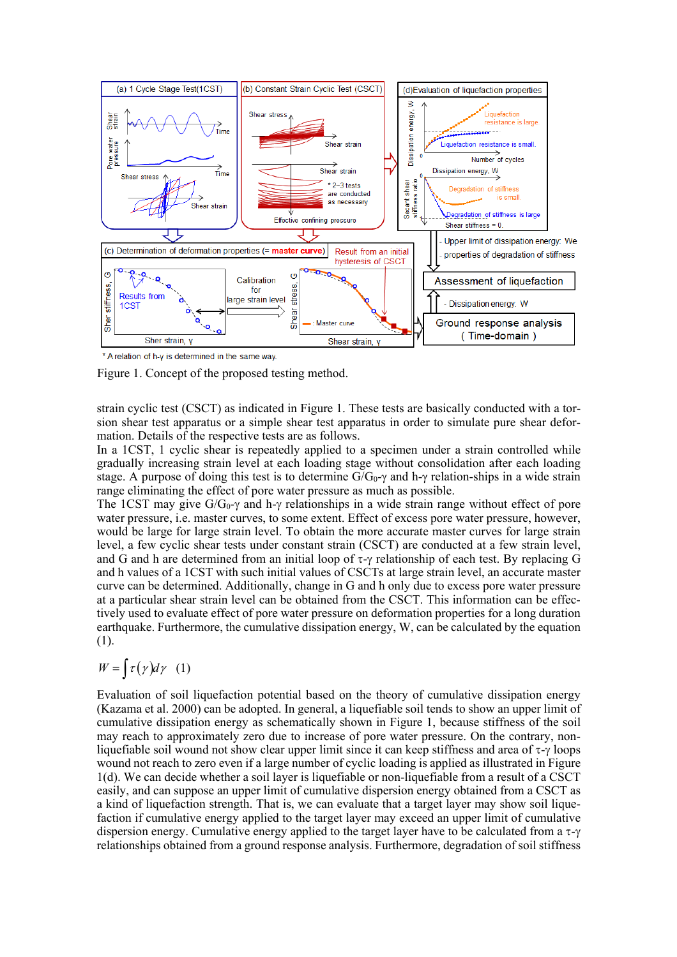

\* A relation of h-y is determined in the same way

Figure 1. Concept of the proposed testing method.

strain cyclic test (CSCT) as indicated in Figure 1. These tests are basically conducted with a torsion shear test apparatus or a simple shear test apparatus in order to simulate pure shear deformation. Details of the respective tests are as follows.

In a 1CST, 1 cyclic shear is repeatedly applied to a specimen under a strain controlled while gradually increasing strain level at each loading stage without consolidation after each loading stage. A purpose of doing this test is to determine  $G/G_0 \gamma$  and h- $\gamma$  relation-ships in a wide strain range eliminating the effect of pore water pressure as much as possible.

The 1CST may give  $G/G_0$ - $\gamma$  and h- $\gamma$  relationships in a wide strain range without effect of pore water pressure, i.e. master curves, to some extent. Effect of excess pore water pressure, however, would be large for large strain level. To obtain the more accurate master curves for large strain level, a few cyclic shear tests under constant strain (CSCT) are conducted at a few strain level, and G and h are determined from an initial loop of  $\tau$ - $\gamma$  relationship of each test. By replacing G and h values of a 1CST with such initial values of CSCTs at large strain level, an accurate master curve can be determined. Additionally, change in G and h only due to excess pore water pressure at a particular shear strain level can be obtained from the CSCT. This information can be effectively used to evaluate effect of pore water pressure on deformation properties for a long duration earthquake. Furthermore, the cumulative dissipation energy, W, can be calculated by the equation (1).

$$
W = \int \tau(\gamma) d\gamma \quad (1)
$$

Evaluation of soil liquefaction potential based on the theory of cumulative dissipation energy (Kazama et al. 2000) can be adopted. In general, a liquefiable soil tends to show an upper limit of cumulative dissipation energy as schematically shown in Figure 1, because stiffness of the soil may reach to approximately zero due to increase of pore water pressure. On the contrary, nonliquefiable soil wound not show clear upper limit since it can keep stiffness and area of  $\tau$ - $\gamma$  loops wound not reach to zero even if a large number of cyclic loading is applied as illustrated in Figure 1(d). We can decide whether a soil layer is liquefiable or non-liquefiable from a result of a CSCT easily, and can suppose an upper limit of cumulative dispersion energy obtained from a CSCT as a kind of liquefaction strength. That is, we can evaluate that a target layer may show soil liquefaction if cumulative energy applied to the target layer may exceed an upper limit of cumulative dispersion energy. Cumulative energy applied to the target layer have to be calculated from a  $\tau$ - $\gamma$ relationships obtained from a ground response analysis. Furthermore, degradation of soil stiffness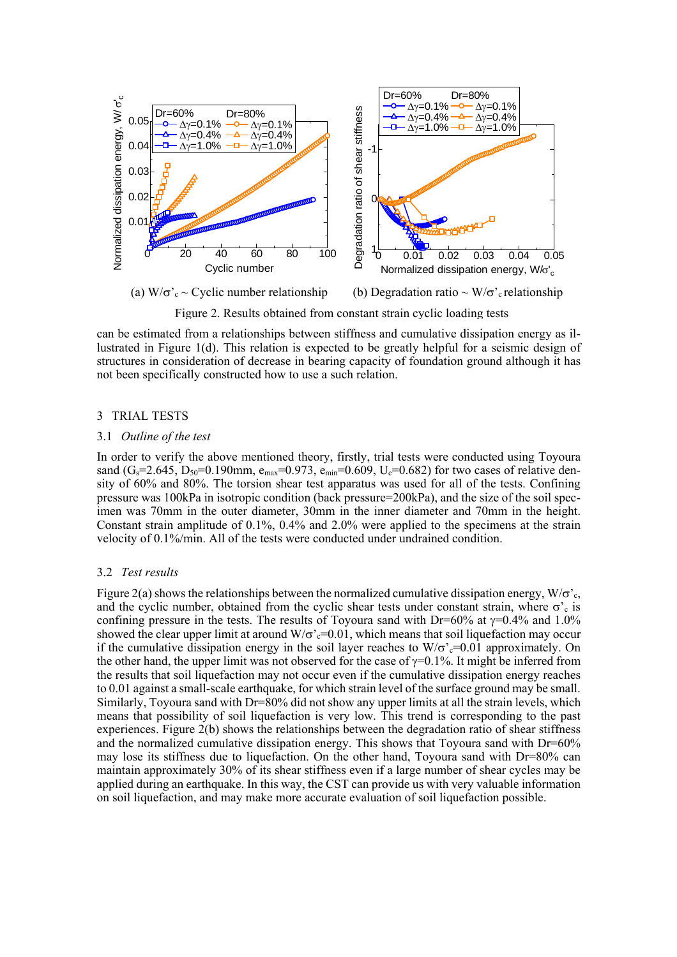

Figure 2. Results obtained from constant strain cyclic loading tests

can be estimated from a relationships between stiffness and cumulative dissipation energy as illustrated in Figure 1(d). This relation is expected to be greatly helpful for a seismic design of structures in consideration of decrease in bearing capacity of foundation ground although it has not been specifically constructed how to use a such relation.

## 3 TRIAL TESTS

#### 3.1 *Outline of the test*

In order to verify the above mentioned theory, firstly, trial tests were conducted using Toyoura sand  $(G_s=2.645, D_{50}=0.190$ mm,  $e_{max}=0.973, e_{min}=0.609, U_c=0.682$  for two cases of relative density of 60% and 80%. The torsion shear test apparatus was used for all of the tests. Confining pressure was 100kPa in isotropic condition (back pressure=200kPa), and the size of the soil specimen was 70mm in the outer diameter, 30mm in the inner diameter and 70mm in the height. Constant strain amplitude of 0.1%, 0.4% and 2.0% were applied to the specimens at the strain velocity of 0.1%/min. All of the tests were conducted under undrained condition.

#### 3.2 *Test results*

Figure 2(a) shows the relationships between the normalized cumulative dissipation energy,  $W/\sigma_c$ . and the cyclic number, obtained from the cyclic shear tests under constant strain, where  $\sigma_c$  is confining pressure in the tests. The results of Toyoura sand with Dr=60% at  $\gamma$ =0.4% and 1.0% showed the clear upper limit at around  $W/\sigma'_{c}=0.01$ , which means that soil liquefaction may occur if the cumulative dissipation energy in the soil layer reaches to  $W/\sigma$ <sup>2</sup> $=$ 0.01 approximately. On the other hand, the upper limit was not observed for the case of  $\gamma=0.1\%$ . It might be inferred from the results that soil liquefaction may not occur even if the cumulative dissipation energy reaches to 0.01 against a small-scale earthquake, for which strain level of the surface ground may be small. Similarly, Toyoura sand with Dr=80% did not show any upper limits at all the strain levels, which means that possibility of soil liquefaction is very low. This trend is corresponding to the past experiences. Figure 2(b) shows the relationships between the degradation ratio of shear stiffness and the normalized cumulative dissipation energy. This shows that Toyoura sand with Dr=60% may lose its stiffness due to liquefaction. On the other hand, Toyoura sand with Dr=80% can maintain approximately 30% of its shear stiffness even if a large number of shear cycles may be applied during an earthquake. In this way, the CST can provide us with very valuable information on soil liquefaction, and may make more accurate evaluation of soil liquefaction possible.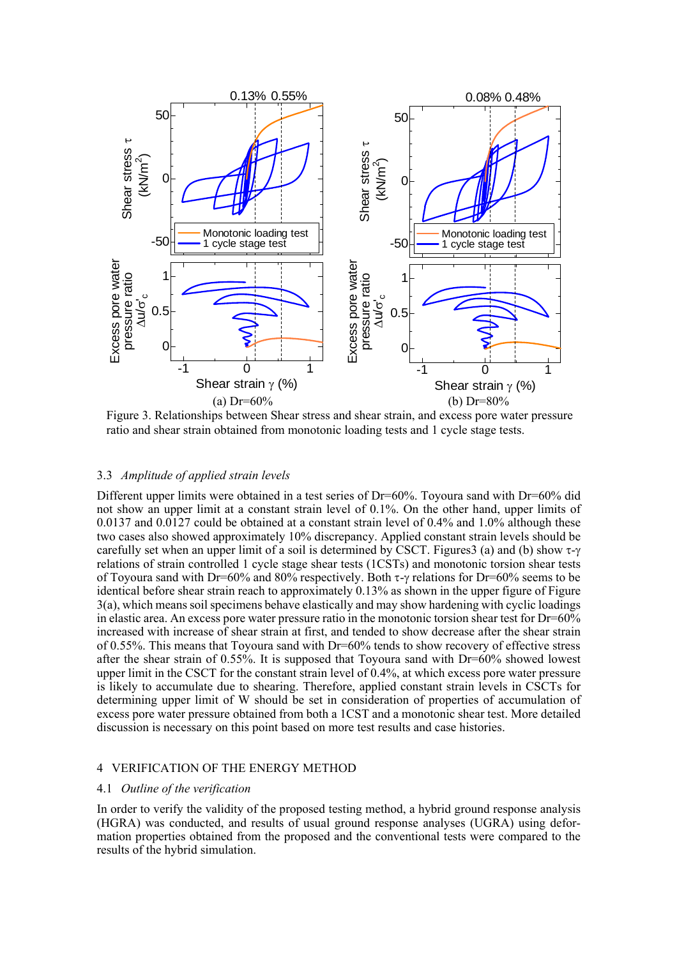

Figure 3. Relationships between Shear stress and shear strain, and excess pore water pressure ratio and shear strain obtained from monotonic loading tests and 1 cycle stage tests.

#### 3.3 *Amplitude of applied strain levels*

Different upper limits were obtained in a test series of  $Dr=60\%$ . Toyoura sand with  $Dr=60\%$  did not show an upper limit at a constant strain level of 0.1%. On the other hand, upper limits of 0.0137 and 0.0127 could be obtained at a constant strain level of 0.4% and 1.0% although these two cases also showed approximately 10% discrepancy. Applied constant strain levels should be carefully set when an upper limit of a soil is determined by CSCT. Figures 3 (a) and (b) show  $\tau$ - $\gamma$ relations of strain controlled 1 cycle stage shear tests (1CSTs) and monotonic torsion shear tests of Toyoura sand with Dr=60% and 80% respectively. Both  $\tau$ - $\gamma$  relations for Dr=60% seems to be identical before shear strain reach to approximately 0.13% as shown in the upper figure of Figure 3(a), which means soil specimens behave elastically and may show hardening with cyclic loadings in elastic area. An excess pore water pressure ratio in the monotonic torsion shear test for Dr=60% increased with increase of shear strain at first, and tended to show decrease after the shear strain of 0.55%. This means that Toyoura sand with Dr=60% tends to show recovery of effective stress after the shear strain of 0.55%. It is supposed that Toyoura sand with Dr=60% showed lowest upper limit in the CSCT for the constant strain level of 0.4%, at which excess pore water pressure is likely to accumulate due to shearing. Therefore, applied constant strain levels in CSCTs for determining upper limit of W should be set in consideration of properties of accumulation of excess pore water pressure obtained from both a 1CST and a monotonic shear test. More detailed discussion is necessary on this point based on more test results and case histories.

# 4 VERIFICATION OF THE ENERGY METHOD

# 4.1 *Outline of the verification*

In order to verify the validity of the proposed testing method, a hybrid ground response analysis (HGRA) was conducted, and results of usual ground response analyses (UGRA) using deformation properties obtained from the proposed and the conventional tests were compared to the results of the hybrid simulation.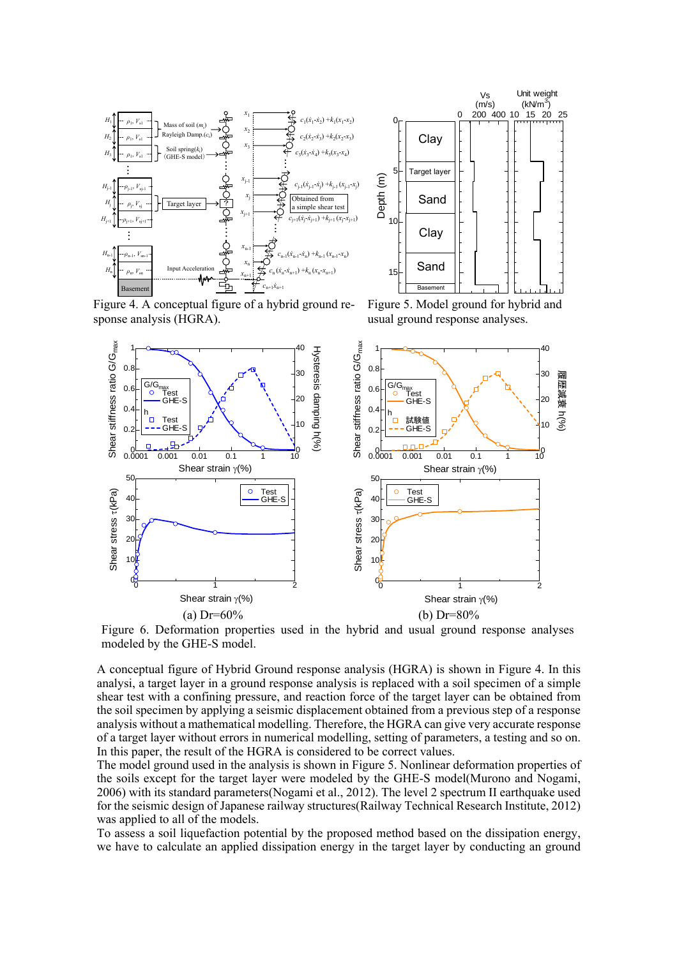



Figure 4. A conceptual figure of a hybrid ground response analysis (HGRA).

Figure 5. Model ground for hybrid and usual ground response analyses.



Figure 6. Deformation properties used in the hybrid and usual ground response analyses

A conceptual figure of Hybrid Ground response analysis (HGRA) is shown in Figure 4. In this analysi, a target layer in a ground response analysis is replaced with a soil specimen of a simple shear test with a confining pressure, and reaction force of the target layer can be obtained from the soil specimen by applying a seismic displacement obtained from a previous step of a response analysis without a mathematical modelling. Therefore, the HGRA can give very accurate response of a target layer without errors in numerical modelling, setting of parameters, a testing and so on. In this paper, the result of the HGRA is considered to be correct values.

The model ground used in the analysis is shown in Figure 5. Nonlinear deformation properties of the soils except for the target layer were modeled by the GHE-S model(Murono and Nogami, 2006) with its standard parameters(Nogami et al., 2012). The level 2 spectrum II earthquake used for the seismic design of Japanese railway structures(Railway Technical Research Institute, 2012) was applied to all of the models.

To assess a soil liquefaction potential by the proposed method based on the dissipation energy, we have to calculate an applied dissipation energy in the target layer by conducting an ground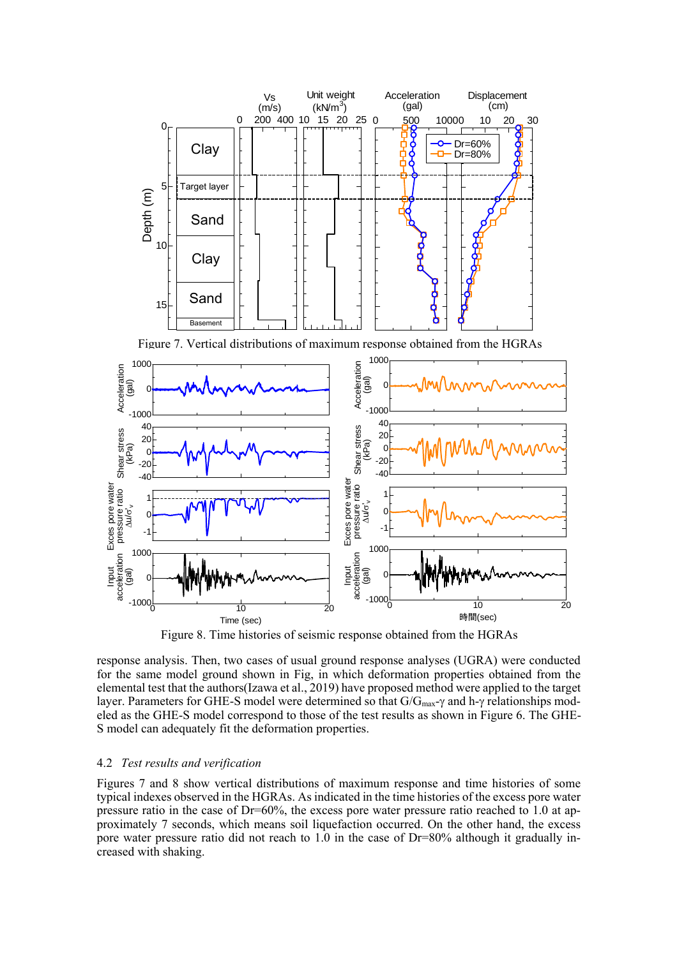

Figure 8. Time histories of seismic response obtained from the HGRAs

response analysis. Then, two cases of usual ground response analyses (UGRA) were conducted for the same model ground shown in Fig, in which deformation properties obtained from the elemental test that the authors(Izawa et al., 2019) have proposed method were applied to the target layer. Parameters for GHE-S model were determined so that  $G/G_{max}$ - $\gamma$  and h- $\gamma$  relationships modeled as the GHE-S model correspond to those of the test results as shown in Figure 6. The GHE-S model can adequately fit the deformation properties.

# 4.2 *Test results and verification*

Figures 7 and 8 show vertical distributions of maximum response and time histories of some typical indexes observed in the HGRAs. As indicated in the time histories of the excess pore water pressure ratio in the case of Dr=60%, the excess pore water pressure ratio reached to 1.0 at approximately 7 seconds, which means soil liquefaction occurred. On the other hand, the excess pore water pressure ratio did not reach to 1.0 in the case of Dr=80% although it gradually increased with shaking.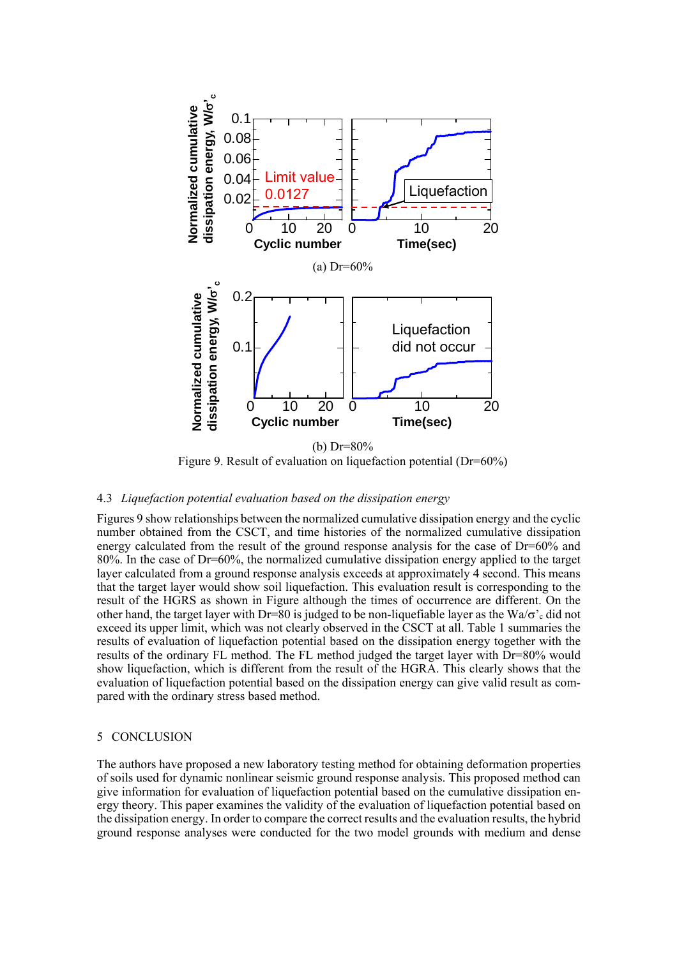

Figure 9. Result of evaluation on liquefaction potential (Dr=60%)

## 4.3 *Liquefaction potential evaluation based on the dissipation energy*

Figures 9 show relationships between the normalized cumulative dissipation energy and the cyclic number obtained from the CSCT, and time histories of the normalized cumulative dissipation energy calculated from the result of the ground response analysis for the case of Dr=60% and 80%. In the case of Dr=60%, the normalized cumulative dissipation energy applied to the target layer calculated from a ground response analysis exceeds at approximately 4 second. This means that the target layer would show soil liquefaction. This evaluation result is corresponding to the result of the HGRS as shown in Figure although the times of occurrence are different. On the other hand, the target layer with Dr=80 is judged to be non-liquefiable layer as the Wa/ $\sigma$ '<sub>c</sub> did not exceed its upper limit, which was not clearly observed in the CSCT at all. Table 1 summaries the results of evaluation of liquefaction potential based on the dissipation energy together with the results of the ordinary FL method. The FL method judged the target layer with Dr=80% would show liquefaction, which is different from the result of the HGRA. This clearly shows that the evaluation of liquefaction potential based on the dissipation energy can give valid result as compared with the ordinary stress based method.

## 5 CONCLUSION

The authors have proposed a new laboratory testing method for obtaining deformation properties of soils used for dynamic nonlinear seismic ground response analysis. This proposed method can give information for evaluation of liquefaction potential based on the cumulative dissipation energy theory. This paper examines the validity of the evaluation of liquefaction potential based on the dissipation energy. In order to compare the correct results and the evaluation results, the hybrid ground response analyses were conducted for the two model grounds with medium and dense